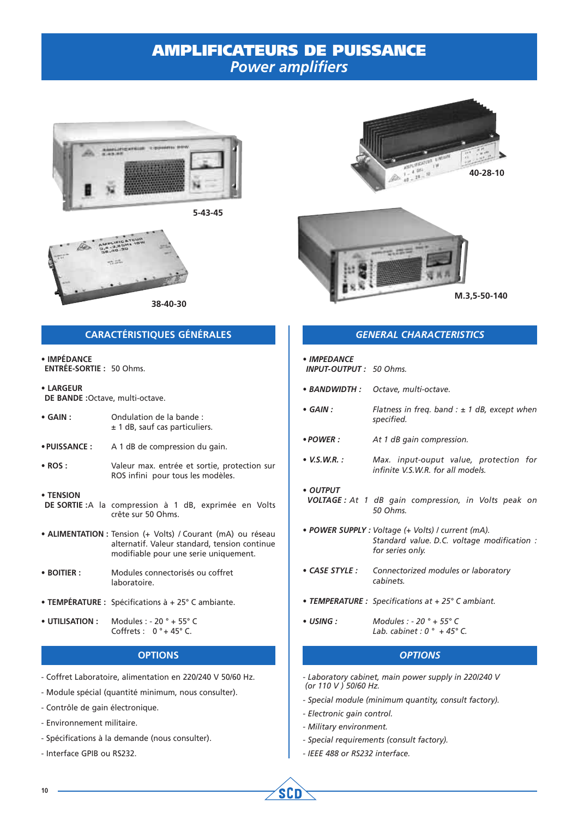

**5-43-45**







### **CARACTÉRISTIQUES GÉNÉRALES**

• **IMPÉDANCE ENTRÉE-SORTIE :** 50 Ohms.

• **LARGEUR DE BANDE :**Octave, multi-octave.

| $\bullet$ GAIN : | Ondulation de la bande :           |
|------------------|------------------------------------|
|                  | $\pm$ 1 dB, sauf cas particuliers. |

• **PUISSANCE :** A 1 dB de compression du gain.

• **ROS :** Valeur max. entrée et sortie, protection sur ROS infini pour tous les modèles.

#### • **TENSION**

- **DE SORTIE :**A la compression à 1 dB, exprimée en Volts crête sur 50 Ohms.
- **ALIMENTATION :** Tension (+ Volts) / Courant (mA) ou réseau alternatif. Valeur standard, tension continue modifiable pour une serie uniquement.
- **BOITIER :** Modules connectorisés ou coffret laboratoire.
- **TEMPÉRATURE :** Spécifications à + 25° C ambiante.
- **UTILISATION :** Modules : 20 ° + 55° C Coffrets :  $0° + 45°$  C.

### **OPTIONS**

- Coffret Laboratoire, alimentation en 220/240 V 50/60 Hz.
- Module spécial (quantité minimum, nous consulter).
- Contrôle de gain électronique.
- Environnement militaire.
- Spécifications à la demande (nous consulter).
- Interface GPIB ou RS232.

### *GENERAL CHARACTERISTICS*

| • IMPEDANCE<br><b>INPUT-OUTPUT: 50 Ohms.</b> |                                                                                                                       |
|----------------------------------------------|-----------------------------------------------------------------------------------------------------------------------|
|                                              | • BANDWIDTH : Octave, multi-octave.                                                                                   |
| $\bullet$ GAIN :                             | Flatness in freq. band : $\pm$ 1 dB, except when<br>specified.                                                        |
| • POWER :                                    | At 1 dB gain compression.                                                                                             |
| • V.S.W.R. :                                 | Max. input-ouput value, protection for<br>infinite V.S.W.R. for all models.                                           |
| • OUTPUT                                     | <b>VOLTAGE</b> : At 1 dB gain compression, in Volts peak on<br>50 Ohms.                                               |
|                                              | · POWER SUPPLY : Voltage (+ Volts) / current (mA).<br>Standard value. D.C. voltage modification :<br>for series only. |
|                                              | • CASE STYLE : Connectorized modules or laboratory<br>cabinets.                                                       |
|                                              | • TEMPERATURE : Specifications at + 25° C ambiant.                                                                    |
| • USING :                                    | Modules : - 20 $^{\circ}$ + 55 $^{\circ}$ C<br>Lab. cabinet : $0^{\circ}$ + 45° C.                                    |
|                                              | -------                                                                                                               |

#### *OPTIONS*

- *Laboratory cabinet, main power supply in 220/240 V (or 110 V ) 50/60 Hz.*
- *Special module (minimum quantity, consult factory).*
- *Electronic gain control.*
- *Military environment.*

**SCD** 

- *Special requirements (consult factory).*
- *IEEE 488 or RS232 interface.*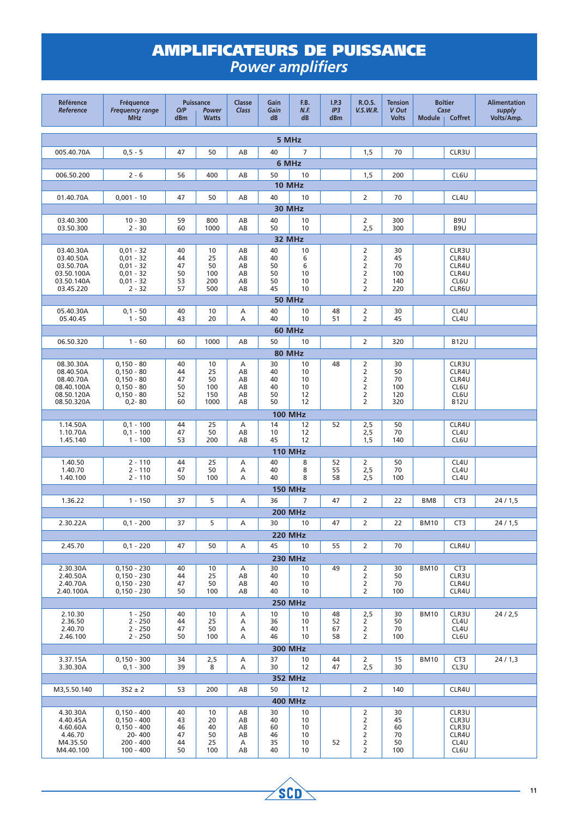| <b>Référence</b><br>Reference | Fréquence<br><b>Frequency range</b><br><b>MHz</b> | O/P<br>dBm | <b>Puissance</b><br>Power<br><b>Watts</b> | Classe<br>Class | Gain<br>Gain<br>dB | F.B.<br>N.F.<br>dB  | I.P.3<br>IP3<br>dBm | R.O.S.<br><b>V.S.W.R.</b>        | <b>Tension</b><br>V Out<br><b>Volts</b> | <b>Boîtier</b><br>Case<br><b>Module</b><br>Coffret |                          | <b>Alimentation</b><br>supply<br>Volts/Amp. |
|-------------------------------|---------------------------------------------------|------------|-------------------------------------------|-----------------|--------------------|---------------------|---------------------|----------------------------------|-----------------------------------------|----------------------------------------------------|--------------------------|---------------------------------------------|
| 5 MHz                         |                                                   |            |                                           |                 |                    |                     |                     |                                  |                                         |                                                    |                          |                                             |
| 005.40.70A                    | $0, 5 - 5$                                        | 47         | 50                                        | AB              | 40                 | $\overline{7}$      |                     | 1,5                              | 70                                      |                                                    | CLR3U                    |                                             |
|                               |                                                   |            |                                           |                 |                    | 6 MHz               |                     |                                  |                                         |                                                    |                          |                                             |
| 006.50.200                    | $2 - 6$                                           | 56         | 400                                       | AB              | 50                 | 10                  |                     | 1,5                              | 200                                     |                                                    | CL6U                     |                                             |
|                               |                                                   |            |                                           |                 |                    | 10 MHz              |                     |                                  |                                         |                                                    |                          |                                             |
| 01.40.70A                     | $0,001 - 10$                                      | 47         | 50                                        | AB              | 40                 | 10                  |                     | $\overline{2}$                   | 70                                      |                                                    | CL4U                     |                                             |
|                               |                                                   |            |                                           |                 |                    | 30 MHz              |                     |                                  |                                         |                                                    |                          |                                             |
| 03.40.300                     | $10 - 30$                                         | 59         | 800                                       | AB              | 40                 | 10                  |                     | 2                                | 300                                     |                                                    | B9U                      |                                             |
| 03.50.300                     | $2 - 30$                                          | 60         | 1000                                      | AB              | 50                 | 10                  |                     | 2,5                              | 300                                     |                                                    | B9U                      |                                             |
| 32 MHz                        |                                                   |            |                                           |                 |                    |                     |                     |                                  |                                         |                                                    |                          |                                             |
| 03.40.30A                     | $0,01 - 32$                                       | 40         | 10                                        | AB              | 40                 | 10                  |                     | 2                                | 30                                      |                                                    | CLR3U                    |                                             |
| 03.40.50A<br>03.50.70A        | $0,01 - 32$<br>$0,01 - 32$                        | 44<br>47   | 25<br>50                                  | AB<br>AB        | 40<br>50           | 6<br>6              |                     | $\overline{2}$<br>$\overline{2}$ | 45<br>70                                |                                                    | CLR4U<br>CLR4U           |                                             |
| 03.50.100A                    | $0,01 - 32$                                       | 50         | 100                                       | AB              | 50                 | 10                  |                     | $\overline{2}$                   | 100                                     |                                                    | CLR4U                    |                                             |
| 03.50.140A                    | $0,01 - 32$                                       | 53         | 200                                       | AB              | 50                 | 10                  |                     | $\overline{2}$                   | 140                                     |                                                    | CL6U                     |                                             |
| 03.45.220                     | $2 - 32$                                          | 57         | 500                                       | AB              | 45                 | 10                  |                     | 2                                | 220                                     |                                                    | CLR6U                    |                                             |
|                               |                                                   |            |                                           |                 | 40                 | <b>50 MHz</b><br>10 |                     |                                  |                                         |                                                    |                          |                                             |
| 05.40.30A<br>05.40.45         | $0,1 - 50$<br>$1 - 50$                            | 40<br>43   | 10<br>20                                  | Α<br>A          | 40                 | 10                  | 48<br>51            | $\overline{2}$<br>$\overline{2}$ | 30<br>45                                |                                                    | CL4U<br>CL4U             |                                             |
|                               |                                                   |            |                                           |                 |                    | <b>60 MHz</b>       |                     |                                  |                                         |                                                    |                          |                                             |
| 06.50.320                     | $1 - 60$                                          | 60         | 1000                                      | AB              | 50                 | 10                  |                     | 2                                | 320                                     |                                                    | <b>B12U</b>              |                                             |
|                               |                                                   |            |                                           |                 |                    | <b>80 MHz</b>       |                     |                                  |                                         |                                                    |                          |                                             |
| 08.30.30A                     | $0,150 - 80$                                      | 40         | 10                                        | А               | 30                 | 10                  | 48                  | 2                                | 30                                      |                                                    | CLR3U                    |                                             |
| 08.40.50A                     | $0,150 - 80$                                      | 44         | 25                                        | AB              | 40                 | 10                  |                     | $\overline{2}$                   | 50                                      |                                                    | CLR4U                    |                                             |
| 08.40.70A<br>08.40.100A       | $0,150 - 80$<br>$0,150 - 80$                      | 47<br>50   | 50<br>100                                 | AB<br>AB        | 40<br>40           | 10<br>10            |                     | 2<br>$\overline{2}$              | 70<br>100                               |                                                    | CLR4U<br>CL6U            |                                             |
| 08.50.120A                    | $0,150 - 80$                                      | 52         | 150                                       | AB              | 50                 | 12                  |                     | $\overline{2}$                   | 120                                     |                                                    | CL6U                     |                                             |
| 08.50.320A                    | $0,2 - 80$                                        | 60         | 1000                                      | AB              | 50                 | 12                  |                     | 2                                | 320                                     |                                                    | <b>B12U</b>              |                                             |
|                               |                                                   |            |                                           |                 |                    | <b>100 MHz</b>      |                     |                                  |                                         |                                                    |                          |                                             |
| 1.14.50A                      | $0,1 - 100$                                       | 44         | 25                                        | Α               | 14                 | 12                  | 52                  | 2,5                              | 50                                      |                                                    | CLR4U                    |                                             |
| 1.10.70A<br>1.45.140          | $0,1 - 100$<br>$1 - 100$                          | 47<br>53   | 50<br>200                                 | AB<br>AB        | 10<br>45           | 12<br>12            |                     | $2,5$<br>1,5                     | 70<br>140                               |                                                    | CL4U<br>CL6U             |                                             |
|                               |                                                   |            |                                           |                 |                    | <b>110 MHz</b>      |                     |                                  |                                         |                                                    |                          |                                             |
| 1.40.50                       | $2 - 110$                                         | 44         | 25                                        | Α               | 40                 | 8                   | 52                  | $\overline{2}$                   | 50                                      |                                                    | CL4U                     |                                             |
| 1.40.70                       | $2 - 110$                                         | 47         | 50                                        | Α               | 40                 | 8                   | 55                  | 2,5                              | 70                                      |                                                    | CL4U                     |                                             |
| 1.40.100                      | $2 - 110$                                         | 50         | 100                                       | Α               | 40                 | 8                   | 58                  | 2,5                              | 100                                     |                                                    | CL4U                     |                                             |
|                               |                                                   |            |                                           |                 |                    | <b>150 MHz</b>      |                     |                                  |                                         |                                                    |                          |                                             |
| 1.36.22                       | $1 - 150$                                         | 37         | 5                                         | Α               | 36                 | 7                   | 47                  | 2                                | 22                                      | BM <sub>8</sub>                                    | CT <sub>3</sub>          | 24/1,5                                      |
|                               |                                                   |            |                                           |                 |                    | <b>200 MHz</b>      |                     |                                  |                                         |                                                    |                          |                                             |
| 2.30.22A                      | $0,1 - 200$                                       | 37         | 5                                         | Α               | 30                 | 10                  | 47                  | 2                                | 22                                      | <b>BM10</b>                                        | CT <sub>3</sub>          | 24/1,5                                      |
|                               |                                                   |            |                                           |                 |                    | <b>220 MHz</b>      |                     |                                  |                                         |                                                    |                          |                                             |
| 2.45.70                       | $0,1 - 220$                                       | 47         | 50                                        | Α               | 45                 | 10                  | 55                  | $\overline{2}$                   | 70                                      |                                                    | CLR4U                    |                                             |
|                               |                                                   |            |                                           |                 |                    | <b>230 MHz</b>      |                     |                                  |                                         |                                                    |                          |                                             |
| 2.30.30A<br>2.40.50A          | $0,150 - 230$<br>$0,150 - 230$                    | 40<br>44   | 10<br>25                                  | Α<br>AB         | 30<br>40           | 10<br>10            | 49                  | 2<br>$\overline{2}$              | 30<br>50                                | <b>BM10</b>                                        | CT <sub>3</sub><br>CLR3U |                                             |
| 2.40.70A                      | $0,150 - 230$                                     | 47         | 50                                        | AB              | 40                 | 10                  |                     | $\overline{2}$                   | 70                                      |                                                    | CLR4U                    |                                             |
| 2.40.100A                     | $0,150 - 230$                                     | 50         | 100                                       | AB              | 40                 | 10                  |                     | $\overline{2}$                   | 100                                     |                                                    | CLR4U                    |                                             |
|                               |                                                   |            |                                           |                 |                    | <b>250 MHz</b>      |                     |                                  |                                         |                                                    |                          |                                             |
| 2.10.30<br>2.36.50            | $1 - 250$<br>$2 - 250$                            | 40         | 10<br>25                                  | Α<br>А          | 10<br>36           | 10<br>10            | 48<br>52            | 2,5<br>$\overline{2}$            | 30<br>50                                | <b>BM10</b>                                        | CLR3U<br>CL4U            | 24/2,5                                      |
| 2.40.70                       | $2 - 250$                                         | 44<br>47   | 50                                        | Α               | 40                 | 11                  | 67                  | $\overline{2}$                   | 70                                      |                                                    | CL4U                     |                                             |
| 2.46.100                      | $2 - 250$                                         | 50         | 100                                       | Α               | 46                 | 10                  | 58                  | $\overline{2}$                   | 100                                     |                                                    | CL6U                     |                                             |
| <b>300 MHz</b>                |                                                   |            |                                           |                 |                    |                     |                     |                                  |                                         |                                                    |                          |                                             |
| 3.37.15A                      | $0,150 - 300$                                     | 34         | 2,5                                       | Α               | 37                 | 10                  | 44                  | $\overline{2}$                   | 15                                      | <b>BM10</b>                                        | CT <sub>3</sub>          | 24/1,3                                      |
| 3.30.30A                      | $0,1 - 300$                                       | 39         | 8                                         | Α               | 30                 | 12                  | 47                  | 2,5                              | 30                                      |                                                    | CL3U                     |                                             |
|                               |                                                   |            |                                           |                 |                    | <b>352 MHz</b>      |                     |                                  |                                         |                                                    |                          |                                             |
| M3,5.50.140                   | $352 \pm 2$                                       | 53         | 200                                       | AB              | 50                 | 12                  |                     | $\overline{2}$                   | 140                                     |                                                    | CLR4U                    |                                             |
|                               |                                                   |            |                                           |                 |                    | <b>400 MHz</b>      |                     |                                  |                                         |                                                    |                          |                                             |
| 4.30.30A<br>4.40.45A          | $0,150 - 400$<br>$0,150 - 400$                    | 40<br>43   | 10<br>20                                  | AB<br>AB        | 30<br>40           | 10<br>10            |                     | $\overline{2}$<br>2              | 30<br>45                                |                                                    | CLR3U<br>CLR3U           |                                             |
| 4.60.60A                      | $0,150 - 400$                                     | 46         | 40                                        | AB              | 60                 | 10                  |                     | $\overline{2}$                   | 60                                      |                                                    | CLR3U                    |                                             |
| 4.46.70<br>M4.35.50           | 20-400<br>$200 - 400$                             | 47<br>44   | 50<br>25                                  | AB<br>A         | 46<br>35           | 10<br>10            | 52                  | $\overline{2}$<br>$\overline{2}$ | 70<br>50                                |                                                    | CLR4U<br>CL4U            |                                             |
| M4.40.100                     | $100 - 400$                                       | 50         | 100                                       | AB              | 40                 | 10                  |                     | $\overline{2}$                   | 100                                     |                                                    | CL6U                     |                                             |

 $\rightarrow$ sco $\rightarrow$ 

 $\overline{\phantom{0}}$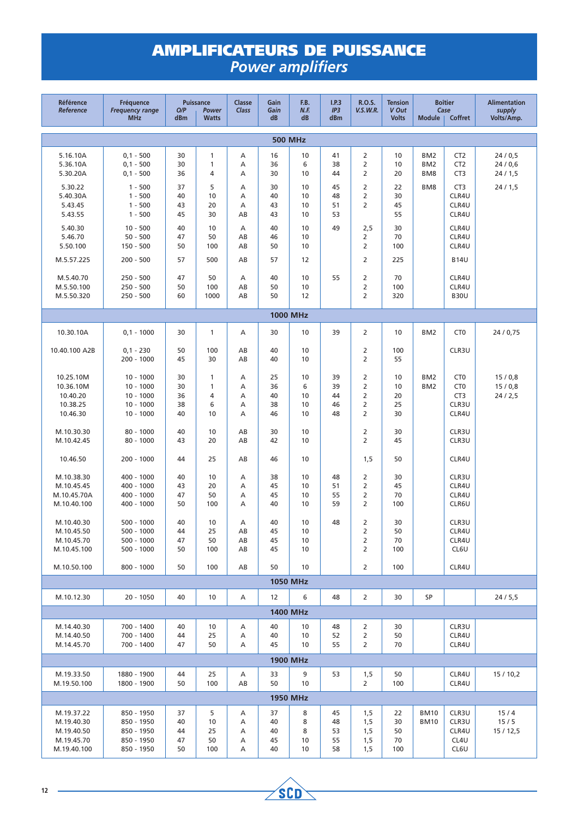| Référence<br>Reference                    | Fréquence<br><b>Frequency range</b><br><b>MHz</b> | O/P<br>dBm           | <b>Puissance</b><br>Power<br><b>Watts</b> | Classe<br>Class   | Gain<br>Gain<br>dB   | F.B.<br>N.F.<br>dB   | I.P.3<br>IP3<br>dBm  | <b>R.O.S.</b><br><b>V.S.W.R.</b> | <b>Tension</b><br>V Out<br><b>Volts</b> | <b>Boîtier</b><br>Case<br>Coffret<br><b>Module</b> |                                                       | <b>Alimentation</b><br>supply<br>Volts/Amp. |
|-------------------------------------------|---------------------------------------------------|----------------------|-------------------------------------------|-------------------|----------------------|----------------------|----------------------|----------------------------------|-----------------------------------------|----------------------------------------------------|-------------------------------------------------------|---------------------------------------------|
| <b>500 MHz</b>                            |                                                   |                      |                                           |                   |                      |                      |                      |                                  |                                         |                                                    |                                                       |                                             |
| 5.16.10A<br>5.36.10A<br>5.30.20A          | $0,1 - 500$<br>$0,1 - 500$<br>$0,1 - 500$         | 30<br>30<br>36       | 1<br>1<br>4                               | Α<br>A<br>Α       | 16<br>36<br>30       | 10<br>6<br>10        | 41<br>38<br>44       | 2<br>2<br>2                      | 10<br>10<br>20                          | BM <sub>2</sub><br>BM <sub>2</sub><br>BM8          | CT <sub>2</sub><br>CT <sub>2</sub><br>CT <sub>3</sub> | 24/0,5<br>24/0,6<br>24/1,5                  |
| 5.30.22<br>5.40.30A<br>5.43.45<br>5.43.55 | $1 - 500$<br>$1 - 500$<br>$1 - 500$<br>$1 - 500$  | 37<br>40<br>43<br>45 | 5<br>10<br>20<br>30                       | Α<br>Α<br>Α<br>AB | 30<br>40<br>43<br>43 | 10<br>10<br>10<br>10 | 45<br>48<br>51<br>53 | 2<br>$\overline{2}$<br>2         | 22<br>30<br>45<br>55                    | BM8                                                | CT <sub>3</sub><br>CLR4U<br>CLR4U<br>CLR4U            | 24/1,5                                      |
| 5.40.30<br>5.46.70<br>5.50.100            | $10 - 500$<br>$50 - 500$<br>150 - 500             | 40<br>47<br>50       | 10<br>50<br>100                           | Α<br>AB<br>AB     | 40<br>46<br>50       | 10<br>10<br>10       | 49                   | 2,5<br>2<br>$\overline{2}$       | 30<br>70<br>100                         |                                                    | CLR4U<br>CLR4U<br>CLR4U                               |                                             |
| M.5.57.225<br>M.5.40.70                   | $200 - 500$<br>$250 - 500$                        | 57<br>47             | 500<br>50                                 | AB<br>Α           | 57<br>40             | 12<br>10             | 55                   | $\overline{2}$<br>$\overline{2}$ | 225<br>70                               |                                                    | <b>B14U</b><br>CLR4U                                  |                                             |
| M.5.50.100<br>M.5.50.320                  | $250 - 500$<br>$250 - 500$                        | 50<br>60             | 100<br>1000                               | AB<br>AB          | 50<br>50             | 10<br>12             |                      | 2<br>$\overline{2}$              | 100<br>320                              |                                                    | CLR4U<br><b>B30U</b>                                  |                                             |
|                                           |                                                   |                      |                                           |                   |                      | <b>1000 MHz</b>      |                      |                                  |                                         |                                                    |                                                       |                                             |
| 10.30.10A                                 | $0,1 - 1000$                                      | 30                   | 1                                         | Α                 | 30                   | 10                   | 39                   | $\overline{2}$                   | 10                                      | BM <sub>2</sub>                                    | CT <sub>0</sub>                                       | 24 / 0,75                                   |
| 10.40.100 A2B                             | $0,1 - 230$<br>$200 - 1000$                       | 50<br>45             | 100<br>30                                 | AB<br>AB          | 40<br>40             | 10<br>10             |                      | 2<br>$\overline{2}$              | 100<br>55                               |                                                    | CLR3U                                                 |                                             |
| 10.25.10M<br>10.36.10M                    | $10 - 1000$<br>$10 - 1000$                        | 30<br>30             | 1<br>1                                    | Α<br>А            | 25<br>36             | 10<br>6              | 39<br>39             | 2<br>$\overline{2}$              | 10<br>10                                | BM <sub>2</sub><br>BM <sub>2</sub>                 | CT <sub>0</sub><br>CT <sub>0</sub>                    | 15/0,8<br>15/0,8                            |
| 10.40.20<br>10.38.25                      | $10 - 1000$<br>$10 - 1000$                        | 36<br>38             | 4<br>6                                    | Α<br>Α            | 40<br>38             | 10<br>10             | 44<br>46             | $\overline{2}$<br>$\overline{2}$ | 20<br>25                                |                                                    | CT <sub>3</sub><br>CLR3U                              | 24/2,5                                      |
| 10.46.30                                  | $10 - 1000$                                       | 40                   | 10                                        | Α                 | 46                   | 10                   | 48                   | 2                                | 30                                      |                                                    | CLR4U                                                 |                                             |
| M.10.30.30<br>M.10.42.45                  | $80 - 1000$<br>$80 - 1000$                        | 40<br>43             | 10<br>20                                  | AB<br>AB          | 30<br>42             | 10<br>10             |                      | $\overline{2}$<br>$\overline{2}$ | 30<br>45                                |                                                    | CLR3U<br>CLR3U                                        |                                             |
| 10.46.50                                  | $200 - 1000$                                      | 44                   | 25                                        | AB                | 46                   | 10                   |                      | 1,5                              | 50                                      |                                                    | CLR4U                                                 |                                             |
| M.10.38.30                                | 400 - 1000                                        | 40                   | 10                                        | Α                 | 38                   | 10                   | 48                   | $\overline{2}$                   | 30                                      |                                                    | CLR3U                                                 |                                             |
| M.10.45.45                                | 400 - 1000                                        | 43                   | 20                                        | А                 | 45                   | 10                   | 51                   | $\overline{2}$                   | 45                                      |                                                    | CLR4U                                                 |                                             |
| M.10.45.70A                               | 400 - 1000                                        | 47                   | 50                                        | Α                 | 45                   | 10                   | 55                   | $\overline{2}$                   | 70                                      |                                                    | CLR4U                                                 |                                             |
| M.10.40.100                               | 400 - 1000                                        | 50                   | 100                                       | Α                 | 40                   | 10                   | 59                   | $\overline{2}$                   | 100                                     |                                                    | CLR6U                                                 |                                             |
| M.10.40.30                                | 500 - 1000                                        | 40                   | 10                                        | Α                 | 40                   | 10                   | 48                   | $\overline{2}$                   | 30                                      |                                                    | CLR3U                                                 |                                             |
| M.10.45.50<br>M.10.45.70                  | $500 - 1000$<br>$500 - 1000$                      | 44<br>47             | 25                                        | AB                | 45<br>45             | 10<br>10             |                      | 2<br>2                           | 50<br>70                                |                                                    | CLR4U                                                 |                                             |
| M.10.45.100                               | $500 - 1000$                                      | 50                   | 50<br>100                                 | AB<br>AB          | 45                   | 10                   |                      | $\overline{2}$                   | 100                                     |                                                    | CLR4U<br>CL6U                                         |                                             |
| M.10.50.100                               | $800 - 1000$                                      | 50                   | 100                                       | AB                | 50                   | 10                   |                      | $\overline{2}$                   | 100                                     |                                                    | CLR4U                                                 |                                             |
|                                           |                                                   |                      |                                           |                   |                      | <b>1050 MHz</b>      |                      |                                  |                                         |                                                    |                                                       |                                             |
| M.10.12.30                                | 20 - 1050                                         | 40                   | 10                                        | Α                 | 12                   | 6                    | 48                   | $\overline{2}$                   | 30                                      | SP                                                 |                                                       | 24/5,5                                      |
|                                           |                                                   |                      |                                           |                   |                      | <b>1400 MHz</b>      |                      |                                  |                                         |                                                    |                                                       |                                             |
| M.14.40.30                                | 700 - 1400                                        | 40                   | 10                                        | Α                 | 40                   | 10                   | 48                   | 2                                | 30                                      |                                                    | CLR3U                                                 |                                             |
| M.14.40.50                                | 700 - 1400                                        | 44                   | 25                                        | Α                 | 40                   | 10                   | 52                   | 2                                | 50                                      |                                                    | CLR4U                                                 |                                             |
| M.14.45.70                                | 700 - 1400                                        | 47                   | 50                                        | Α                 | 45                   | 10                   | 55                   | $\overline{2}$                   | 70                                      |                                                    | CLR4U                                                 |                                             |
| <b>1900 MHz</b>                           |                                                   |                      |                                           |                   |                      |                      |                      |                                  |                                         |                                                    |                                                       |                                             |
| M.19.33.50<br>M.19.50.100                 | 1880 - 1900<br>1800 - 1900                        | 44<br>50             | 25<br>100                                 | Α<br>AB           | 33<br>50             | 9<br>10              | 53                   | 1,5<br>$\overline{2}$            | 50<br>100                               |                                                    | CLR4U<br>CLR4U                                        | 15/10,2                                     |
|                                           |                                                   |                      |                                           |                   |                      | <b>1950 MHz</b>      |                      |                                  |                                         |                                                    |                                                       |                                             |
|                                           |                                                   |                      |                                           |                   |                      |                      |                      |                                  |                                         |                                                    |                                                       |                                             |
| M.19.37.22<br>M.19.40.30                  | 850 - 1950<br>850 - 1950                          | 37<br>40             | 5<br>10                                   | Α<br>Α            | 37<br>40             | 8<br>8               | 45<br>48             | 1,5<br>1,5                       | 22<br>30                                | <b>BM10</b><br><b>BM10</b>                         | CLR3U<br>CLR3U                                        | 15/4<br>15/5                                |
| M.19.40.50                                | 850 - 1950                                        | 44                   | 25                                        | Α                 | 40                   | 8                    | 53                   | 1,5                              | 50                                      |                                                    | CLR4U                                                 | 15 / 12,5                                   |
| M.19.45.70<br>M.19.40.100                 | 850 - 1950<br>850 - 1950                          | 47<br>50             | 50<br>100                                 | Α<br>Α            | 45<br>40             | 10<br>10             | 55<br>58             | 1,5<br>1,5                       | 70<br>100                               |                                                    | CL4U<br>CL6U                                          |                                             |

 $\rightarrow$ sco $\rightarrow$ 

 $\overline{\phantom{0}}$ 

÷.